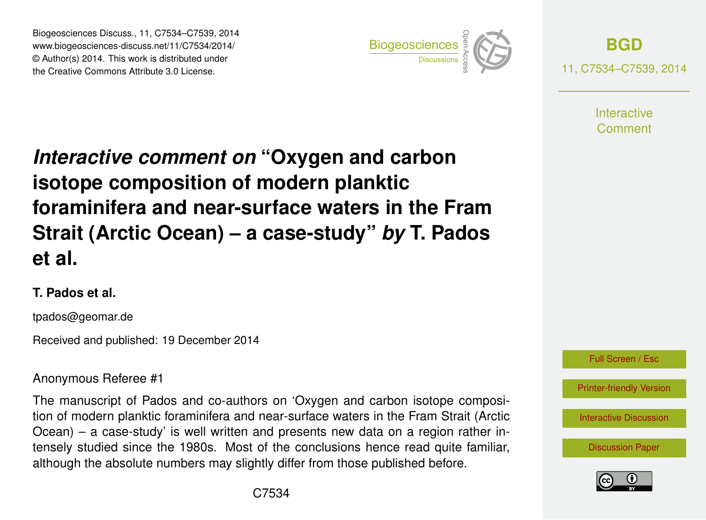Biogeosciences Discuss., 11, C7534–C7539, 2014 www.biogeosciences-discuss.net/11/C7534/2014/ © Author(s) 2014. This work is distributed under Biogeosciences Discuss., 11, C7534–C7539, 2014<br>www.biogeosciences-discuss.net/11/C7534/2014/<br>© Author(s) 2014. This work is distributed under<br>the Creative Commons Attribute 3.0 License.



**[BGD](http://www.biogeosciences-discuss.net)** 11, C7534–C7539, 2014

> **Interactive** Comment

# *Interactive comment on* **"Oxygen and carbon isotope composition of modern planktic foraminifera and near-surface waters in the Fram Strait (Arctic Ocean) – a case-study"** *by* **T. Pados et al.**

#### **T. Pados et al.**

tpados@geomar.de

Received and published: 19 December 2014

#### Anonymous Referee #1

The manuscript of Pados and co-authors on 'Oxygen and carbon isotope composition of modern planktic foraminifera and near-surface waters in the Fram Strait (Arctic Ocean) – a case-study' is well written and presents new data on a region rather intensely studied since the 1980s. Most of the conclusions hence read quite familiar, although the absolute numbers may slightly differ from those published before.



[Printer-friendly Version](http://www.biogeosciences-discuss.net/11/C7534/2014/bgd-11-C7534-2014-print.pdf)

[Interactive Discussion](http://www.biogeosciences-discuss.net/11/8635/2014/bgd-11-8635-2014-discussion.html)

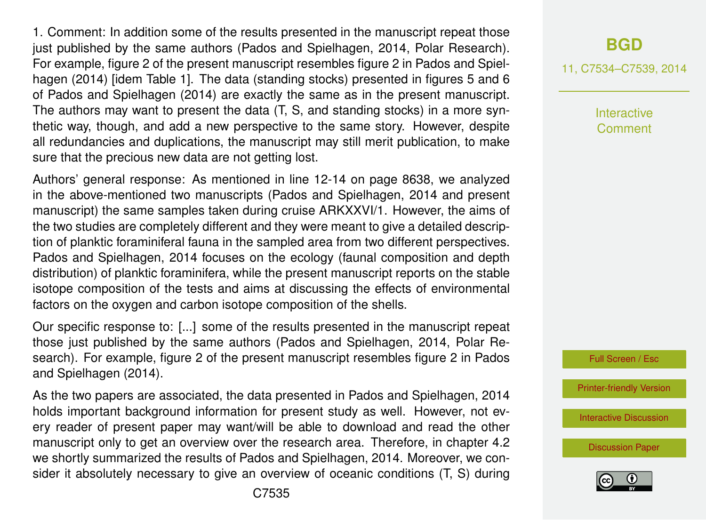1. Comment: In addition some of the results presented in the manuscript repeat those just published by the same authors (Pados and Spielhagen, 2014, Polar Research). For example, figure 2 of the present manuscript resembles figure 2 in Pados and Spielhagen (2014) [idem Table 1]. The data (standing stocks) presented in figures 5 and 6 of Pados and Spielhagen (2014) are exactly the same as in the present manuscript. The authors may want to present the data (T, S, and standing stocks) in a more synthetic way, though, and add a new perspective to the same story. However, despite all redundancies and duplications, the manuscript may still merit publication, to make sure that the precious new data are not getting lost.

Authors' general response: As mentioned in line 12-14 on page 8638, we analyzed in the above-mentioned two manuscripts (Pados and Spielhagen, 2014 and present manuscript) the same samples taken during cruise ARKXXVI/1. However, the aims of the two studies are completely different and they were meant to give a detailed description of planktic foraminiferal fauna in the sampled area from two different perspectives. Pados and Spielhagen, 2014 focuses on the ecology (faunal composition and depth distribution) of planktic foraminifera, while the present manuscript reports on the stable isotope composition of the tests and aims at discussing the effects of environmental factors on the oxygen and carbon isotope composition of the shells.

Our specific response to: [...] some of the results presented in the manuscript repeat those just published by the same authors (Pados and Spielhagen, 2014, Polar Research). For example, figure 2 of the present manuscript resembles figure 2 in Pados and Spielhagen (2014).

As the two papers are associated, the data presented in Pados and Spielhagen, 2014 holds important background information for present study as well. However, not every reader of present paper may want/will be able to download and read the other manuscript only to get an overview over the research area. Therefore, in chapter 4.2 we shortly summarized the results of Pados and Spielhagen, 2014. Moreover, we consider it absolutely necessary to give an overview of oceanic conditions (T, S) during 11, C7534–C7539, 2014

Interactive Comment

Full Screen / Esc

[Printer-friendly Version](http://www.biogeosciences-discuss.net/11/C7534/2014/bgd-11-C7534-2014-print.pdf)

[Interactive Discussion](http://www.biogeosciences-discuss.net/11/8635/2014/bgd-11-8635-2014-discussion.html)

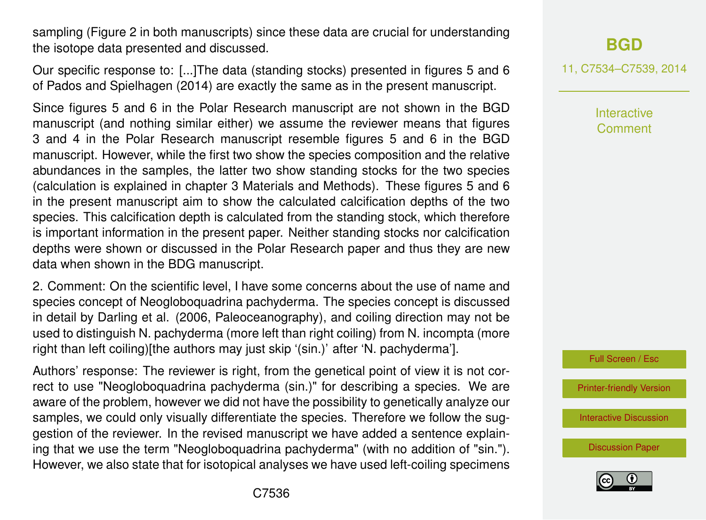sampling (Figure 2 in both manuscripts) since these data are crucial for understanding the isotope data presented and discussed.

Our specific response to: [...]The data (standing stocks) presented in figures 5 and 6 of Pados and Spielhagen (2014) are exactly the same as in the present manuscript.

Since figures 5 and 6 in the Polar Research manuscript are not shown in the BGD manuscript (and nothing similar either) we assume the reviewer means that figures 3 and 4 in the Polar Research manuscript resemble figures 5 and 6 in the BGD manuscript. However, while the first two show the species composition and the relative abundances in the samples, the latter two show standing stocks for the two species (calculation is explained in chapter 3 Materials and Methods). These figures 5 and 6 in the present manuscript aim to show the calculated calcification depths of the two species. This calcification depth is calculated from the standing stock, which therefore is important information in the present paper. Neither standing stocks nor calcification depths were shown or discussed in the Polar Research paper and thus they are new data when shown in the BDG manuscript.

2. Comment: On the scientific level, I have some concerns about the use of name and species concept of Neogloboquadrina pachyderma. The species concept is discussed in detail by Darling et al. (2006, Paleoceanography), and coiling direction may not be used to distinguish N. pachyderma (more left than right coiling) from N. incompta (more right than left coiling)[the authors may just skip '(sin.)' after 'N. pachyderma'].

Authors' response: The reviewer is right, from the genetical point of view it is not correct to use "Neogloboquadrina pachyderma (sin.)" for describing a species. We are aware of the problem, however we did not have the possibility to genetically analyze our samples, we could only visually differentiate the species. Therefore we follow the suggestion of the reviewer. In the revised manuscript we have added a sentence explaining that we use the term "Neogloboquadrina pachyderma" (with no addition of "sin."). However, we also state that for isotopical analyses we have used left-coiling specimens

## **[BGD](http://www.biogeosciences-discuss.net)**

11, C7534–C7539, 2014

Interactive Comment



[Printer-friendly Version](http://www.biogeosciences-discuss.net/11/C7534/2014/bgd-11-C7534-2014-print.pdf)

[Interactive Discussion](http://www.biogeosciences-discuss.net/11/8635/2014/bgd-11-8635-2014-discussion.html)

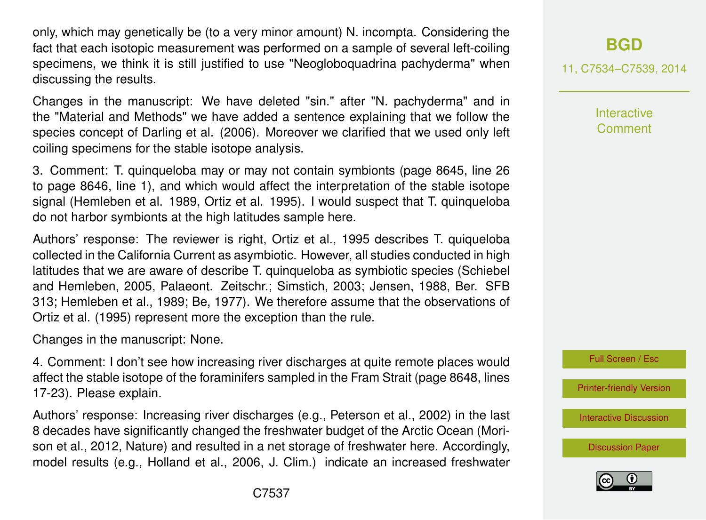only, which may genetically be (to a very minor amount) N. incompta. Considering the fact that each isotopic measurement was performed on a sample of several left-coiling specimens, we think it is still justified to use "Neogloboquadrina pachyderma" when discussing the results.

Changes in the manuscript: We have deleted "sin." after "N. pachyderma" and in the "Material and Methods" we have added a sentence explaining that we follow the species concept of Darling et al. (2006). Moreover we clarified that we used only left coiling specimens for the stable isotope analysis.

3. Comment: T. quinqueloba may or may not contain symbionts (page 8645, line 26 to page 8646, line 1), and which would affect the interpretation of the stable isotope signal (Hemleben et al. 1989, Ortiz et al. 1995). I would suspect that T. quinqueloba do not harbor symbionts at the high latitudes sample here.

Authors' response: The reviewer is right, Ortiz et al., 1995 describes T. quiqueloba collected in the California Current as asymbiotic. However, all studies conducted in high latitudes that we are aware of describe T. quinqueloba as symbiotic species (Schiebel and Hemleben, 2005, Palaeont. Zeitschr.; Simstich, 2003; Jensen, 1988, Ber. SFB 313; Hemleben et al., 1989; Be, 1977). We therefore assume that the observations of Ortiz et al. (1995) represent more the exception than the rule.

Changes in the manuscript: None.

4. Comment: I don't see how increasing river discharges at quite remote places would affect the stable isotope of the foraminifers sampled in the Fram Strait (page 8648, lines 17-23). Please explain.

Authors' response: Increasing river discharges (e.g., Peterson et al., 2002) in the last 8 decades have significantly changed the freshwater budget of the Arctic Ocean (Morison et al., 2012, Nature) and resulted in a net storage of freshwater here. Accordingly, model results (e.g., Holland et al., 2006, J. Clim.) indicate an increased freshwater

### **[BGD](http://www.biogeosciences-discuss.net)**

11, C7534–C7539, 2014

**Interactive Comment** 

Full Screen / Esc

[Printer-friendly Version](http://www.biogeosciences-discuss.net/11/C7534/2014/bgd-11-C7534-2014-print.pdf)

[Interactive Discussion](http://www.biogeosciences-discuss.net/11/8635/2014/bgd-11-8635-2014-discussion.html)

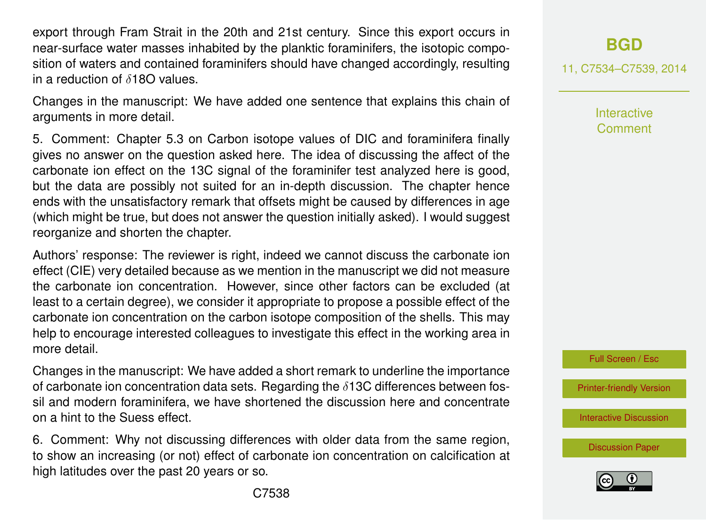export through Fram Strait in the 20th and 21st century. Since this export occurs in near-surface water masses inhabited by the planktic foraminifers, the isotopic composition of waters and contained foraminifers should have changed accordingly, resulting in a reduction of  $\delta$ 180 values.

Changes in the manuscript: We have added one sentence that explains this chain of arguments in more detail.

5. Comment: Chapter 5.3 on Carbon isotope values of DIC and foraminifera finally gives no answer on the question asked here. The idea of discussing the affect of the carbonate ion effect on the 13C signal of the foraminifer test analyzed here is good, but the data are possibly not suited for an in-depth discussion. The chapter hence ends with the unsatisfactory remark that offsets might be caused by differences in age (which might be true, but does not answer the question initially asked). I would suggest reorganize and shorten the chapter.

Authors' response: The reviewer is right, indeed we cannot discuss the carbonate ion effect (CIE) very detailed because as we mention in the manuscript we did not measure the carbonate ion concentration. However, since other factors can be excluded (at least to a certain degree), we consider it appropriate to propose a possible effect of the carbonate ion concentration on the carbon isotope composition of the shells. This may help to encourage interested colleagues to investigate this effect in the working area in more detail.

Changes in the manuscript: We have added a short remark to underline the importance of carbonate ion concentration data sets. Regarding the  $\delta$ 13C differences between fossil and modern foraminifera, we have shortened the discussion here and concentrate on a hint to the Suess effect.

6. Comment: Why not discussing differences with older data from the same region, to show an increasing (or not) effect of carbonate ion concentration on calcification at high latitudes over the past 20 years or so.

**[BGD](http://www.biogeosciences-discuss.net)**

11, C7534–C7539, 2014

Interactive Comment



[Printer-friendly Version](http://www.biogeosciences-discuss.net/11/C7534/2014/bgd-11-C7534-2014-print.pdf)

[Interactive Discussion](http://www.biogeosciences-discuss.net/11/8635/2014/bgd-11-8635-2014-discussion.html)